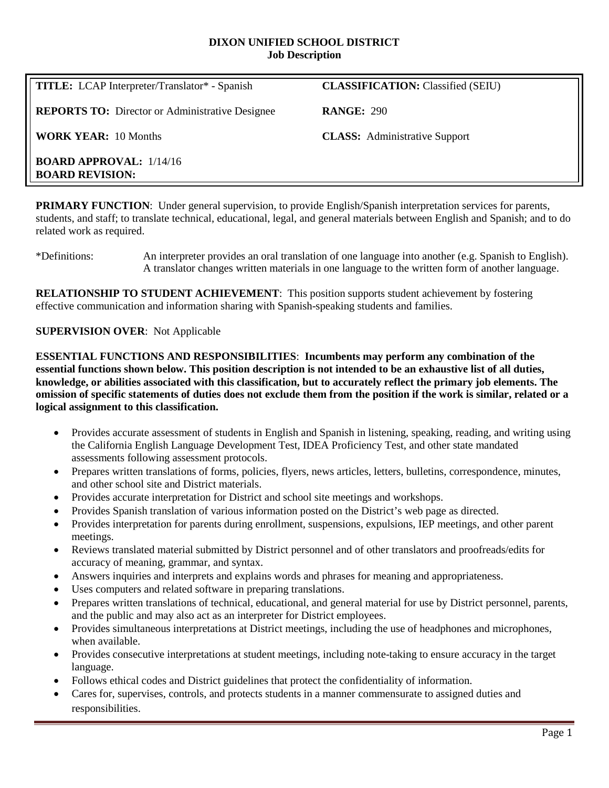#### **DIXON UNIFIED SCHOOL DISTRICT Job Description**

| <b>TITLE:</b> LCAP Interpreter/Translator* - Spanish     | <b>CLASSIFICATION:</b> Classified (SEIU) |
|----------------------------------------------------------|------------------------------------------|
| <b>REPORTS TO:</b> Director or Administrative Designee   | <b>RANGE: 290</b>                        |
| <b>WORK YEAR: 10 Months</b>                              | <b>CLASS:</b> Administrative Support     |
| <b>BOARD APPROVAL:</b> 1/14/16<br><b>BOARD REVISION:</b> |                                          |

**PRIMARY FUNCTION:** Under general supervision, to provide English/Spanish interpretation services for parents, students, and staff; to translate technical, educational, legal, and general materials between English and Spanish; and to do related work as required.

\*Definitions: An interpreter provides an oral translation of one language into another (e.g. Spanish to English). A translator changes written materials in one language to the written form of another language.

**RELATIONSHIP TO STUDENT ACHIEVEMENT**: This position supports student achievement by fostering effective communication and information sharing with Spanish-speaking students and families.

## **SUPERVISION OVER**: Not Applicable

**ESSENTIAL FUNCTIONS AND RESPONSIBILITIES**: **Incumbents may perform any combination of the essential functions shown below. This position description is not intended to be an exhaustive list of all duties, knowledge, or abilities associated with this classification, but to accurately reflect the primary job elements. The omission of specific statements of duties does not exclude them from the position if the work is similar, related or a logical assignment to this classification.**

- Provides accurate assessment of students in English and Spanish in listening, speaking, reading, and writing using the California English Language Development Test, IDEA Proficiency Test, and other state mandated assessments following assessment protocols.
- Prepares written translations of forms, policies, flyers, news articles, letters, bulletins, correspondence, minutes, and other school site and District materials.
- Provides accurate interpretation for District and school site meetings and workshops.
- Provides Spanish translation of various information posted on the District's web page as directed.
- Provides interpretation for parents during enrollment, suspensions, expulsions, IEP meetings, and other parent meetings.
- Reviews translated material submitted by District personnel and of other translators and proofreads/edits for accuracy of meaning, grammar, and syntax.
- Answers inquiries and interprets and explains words and phrases for meaning and appropriateness.
- Uses computers and related software in preparing translations.
- Prepares written translations of technical, educational, and general material for use by District personnel, parents, and the public and may also act as an interpreter for District employees.
- Provides simultaneous interpretations at District meetings, including the use of headphones and microphones, when available.
- Provides consecutive interpretations at student meetings, including note-taking to ensure accuracy in the target language.
- Follows ethical codes and District guidelines that protect the confidentiality of information.
- Cares for, supervises, controls, and protects students in a manner commensurate to assigned duties and responsibilities.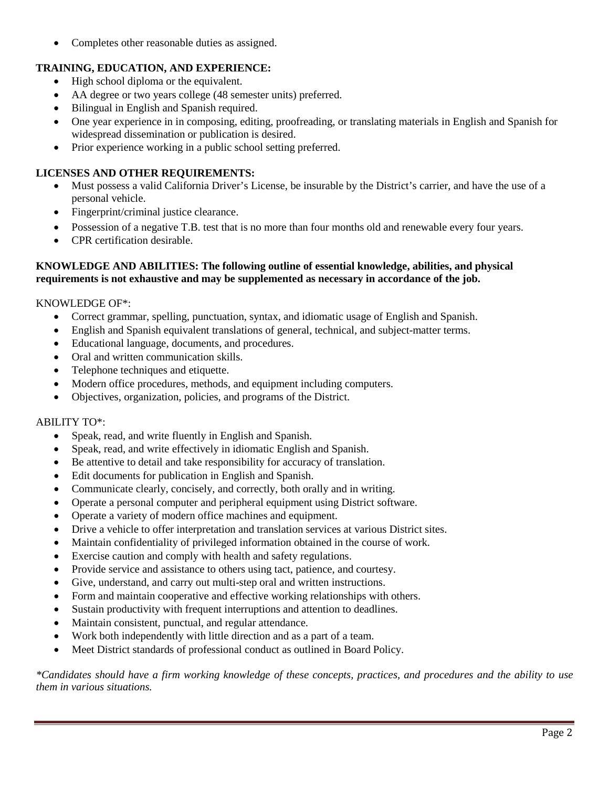• Completes other reasonable duties as assigned.

# **TRAINING, EDUCATION, AND EXPERIENCE:**

- High school diploma or the equivalent.
- AA degree or two years college (48 semester units) preferred.
- Bilingual in English and Spanish required.
- One year experience in in composing, editing, proofreading, or translating materials in English and Spanish for widespread dissemination or publication is desired.
- Prior experience working in a public school setting preferred.

## **LICENSES AND OTHER REQUIREMENTS:**

- Must possess a valid California Driver's License, be insurable by the District's carrier, and have the use of a personal vehicle.
- Fingerprint/criminal justice clearance.
- Possession of a negative T.B. test that is no more than four months old and renewable every four years.
- CPR certification desirable.

## **KNOWLEDGE AND ABILITIES: The following outline of essential knowledge, abilities, and physical requirements is not exhaustive and may be supplemented as necessary in accordance of the job.**

#### KNOWLEDGE OF\*:

- Correct grammar, spelling, punctuation, syntax, and idiomatic usage of English and Spanish.
- English and Spanish equivalent translations of general, technical, and subject-matter terms.
- Educational language, documents, and procedures.
- Oral and written communication skills.
- Telephone techniques and etiquette.
- Modern office procedures, methods, and equipment including computers.
- Objectives, organization, policies, and programs of the District.

#### ABILITY TO\*:

- Speak, read, and write fluently in English and Spanish.
- Speak, read, and write effectively in idiomatic English and Spanish.
- Be attentive to detail and take responsibility for accuracy of translation.
- Edit documents for publication in English and Spanish.
- Communicate clearly, concisely, and correctly, both orally and in writing.
- Operate a personal computer and peripheral equipment using District software.
- Operate a variety of modern office machines and equipment.
- Drive a vehicle to offer interpretation and translation services at various District sites.
- Maintain confidentiality of privileged information obtained in the course of work.
- Exercise caution and comply with health and safety regulations.
- Provide service and assistance to others using tact, patience, and courtesy.
- Give, understand, and carry out multi-step oral and written instructions.
- Form and maintain cooperative and effective working relationships with others.
- Sustain productivity with frequent interruptions and attention to deadlines.
- Maintain consistent, punctual, and regular attendance.
- Work both independently with little direction and as a part of a team.
- Meet District standards of professional conduct as outlined in Board Policy.

*\*Candidates should have a firm working knowledge of these concepts, practices, and procedures and the ability to use them in various situations.*